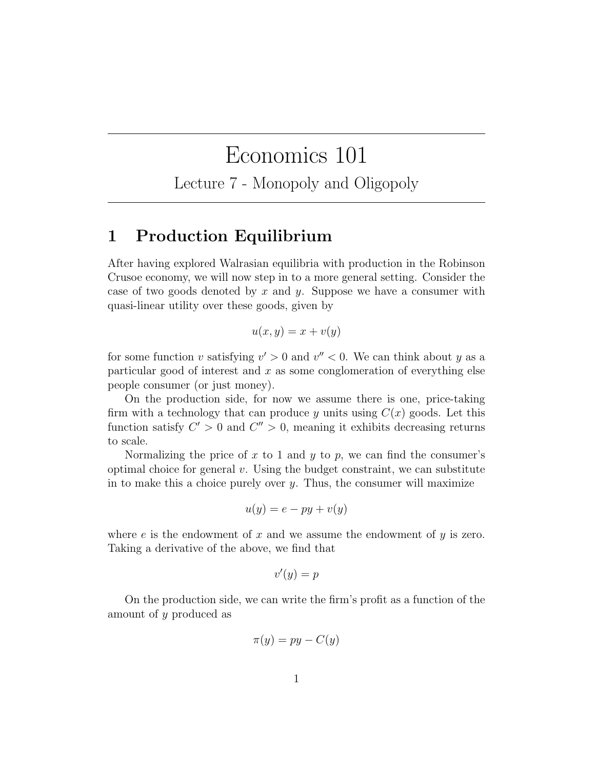# Economics 101

Lecture 7 - Monopoly and Oligopoly

#### 1 Production Equilibrium

After having explored Walrasian equilibria with production in the Robinson Crusoe economy, we will now step in to a more general setting. Consider the case of two goods denoted by x and y. Suppose we have a consumer with quasi-linear utility over these goods, given by

$$
u(x,y) = x + v(y)
$$

for some function v satisfying  $v' > 0$  and  $v'' < 0$ . We can think about y as a particular good of interest and  $x$  as some conglomeration of everything else people consumer (or just money).

On the production side, for now we assume there is one, price-taking firm with a technology that can produce y units using  $C(x)$  goods. Let this function satisfy  $C' > 0$  and  $C'' > 0$ , meaning it exhibits decreasing returns to scale.

Normalizing the price of x to 1 and y to p, we can find the consumer's optimal choice for general  $v$ . Using the budget constraint, we can substitute in to make this a choice purely over  $y$ . Thus, the consumer will maximize

$$
u(y) = e - py + v(y)
$$

where  $e$  is the endowment of  $x$  and we assume the endowment of  $y$  is zero. Taking a derivative of the above, we find that

$$
v'(y) = p
$$

On the production side, we can write the firm's profit as a function of the amount of y produced as

$$
\pi(y) = py - C(y)
$$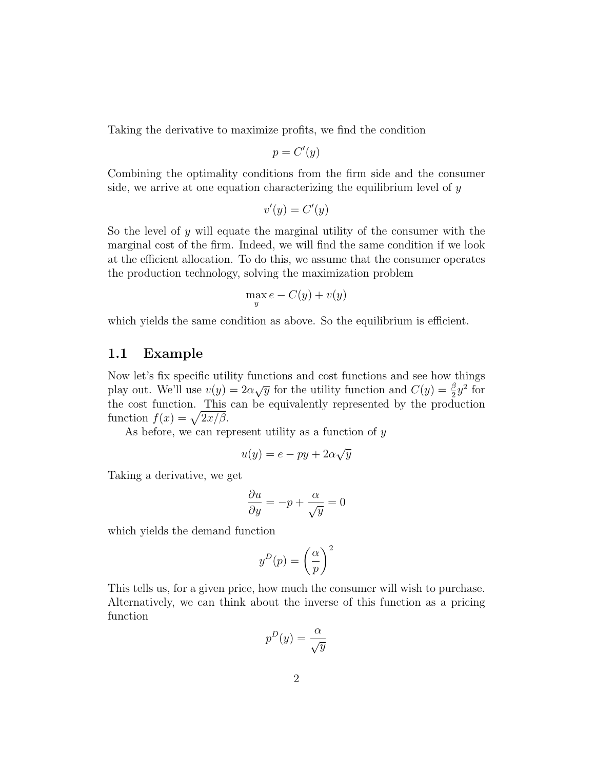Taking the derivative to maximize profits, we find the condition

$$
p = C'(y)
$$

Combining the optimality conditions from the firm side and the consumer side, we arrive at one equation characterizing the equilibrium level of  $y$ 

$$
v'(y) = C'(y)
$$

So the level of y will equate the marginal utility of the consumer with the marginal cost of the firm. Indeed, we will find the same condition if we look at the efficient allocation. To do this, we assume that the consumer operates the production technology, solving the maximization problem

$$
\max_{y} e - C(y) + v(y)
$$

which yields the same condition as above. So the equilibrium is efficient.

#### 1.1 Example

Now let's fix specific utility functions and cost functions and see how things play out. We'll use  $v(y) = 2\alpha\sqrt{y}$  for the utility function and  $C(y) = \frac{\beta}{2}y^2$  for the cost function. This can be equivalently represented by the production function  $f(x) = \sqrt{2x/\beta}$ .

As before, we can represent utility as a function of  $y$ 

$$
u(y) = e - py + 2\alpha\sqrt{y}
$$

Taking a derivative, we get

$$
\frac{\partial u}{\partial y} = -p + \frac{\alpha}{\sqrt{y}} = 0
$$

which yields the demand function

$$
y^D(p) = \left(\frac{\alpha}{p}\right)^2
$$

This tells us, for a given price, how much the consumer will wish to purchase. Alternatively, we can think about the inverse of this function as a pricing function

$$
p^D(y) = \frac{\alpha}{\sqrt{y}}
$$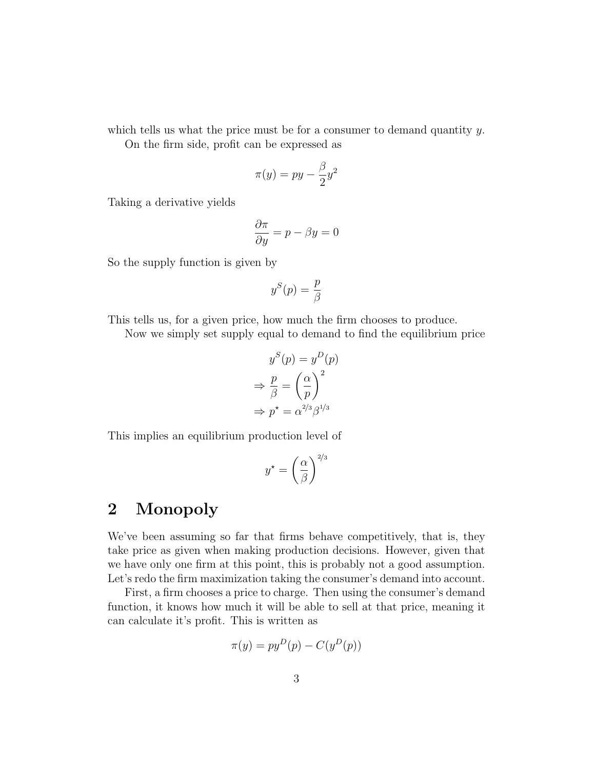which tells us what the price must be for a consumer to demand quantity  $y$ .

On the firm side, profit can be expressed as

$$
\pi(y) = py - \frac{\beta}{2}y^2
$$

Taking a derivative yields

$$
\frac{\partial \pi}{\partial y} = p - \beta y = 0
$$

So the supply function is given by

$$
y^S(p) = \frac{p}{\beta}
$$

This tells us, for a given price, how much the firm chooses to produce.

Now we simply set supply equal to demand to find the equilibrium price

$$
y^{S}(p) = y^{D}(p)
$$

$$
\Rightarrow \frac{p}{\beta} = \left(\frac{\alpha}{p}\right)^{2}
$$

$$
\Rightarrow p^* = \alpha^{2/3} \beta^{1/3}
$$

This implies an equilibrium production level of

$$
y^* = \left(\frac{\alpha}{\beta}\right)^{2/3}
$$

## 2 Monopoly

We've been assuming so far that firms behave competitively, that is, they take price as given when making production decisions. However, given that we have only one firm at this point, this is probably not a good assumption. Let's redo the firm maximization taking the consumer's demand into account.

First, a firm chooses a price to charge. Then using the consumer's demand function, it knows how much it will be able to sell at that price, meaning it can calculate it's profit. This is written as

$$
\pi(y) = py^D(p) - C(y^D(p))
$$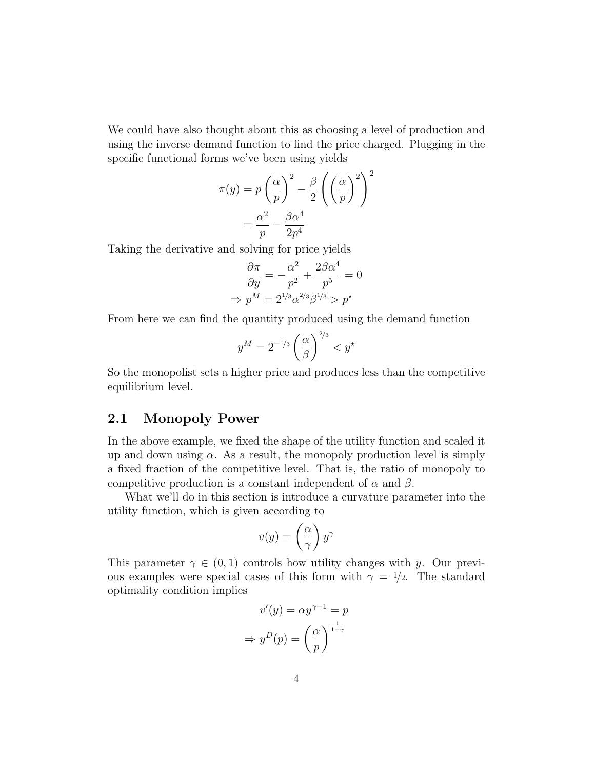We could have also thought about this as choosing a level of production and using the inverse demand function to find the price charged. Plugging in the specific functional forms we've been using yields

$$
\pi(y) = p\left(\frac{\alpha}{p}\right)^2 - \frac{\beta}{2}\left(\left(\frac{\alpha}{p}\right)^2\right)^2
$$

$$
= \frac{\alpha^2}{p} - \frac{\beta\alpha^4}{2p^4}
$$

Taking the derivative and solving for price yields

$$
\frac{\partial \pi}{\partial y} = -\frac{\alpha^2}{p^2} + \frac{2\beta \alpha^4}{p^5} = 0
$$

$$
\Rightarrow p^M = 2^{1/3} \alpha^{2/3} \beta^{1/3} > p^\star
$$

From here we can find the quantity produced using the demand function

$$
y^M = 2^{-1/3} \left(\frac{\alpha}{\beta}\right)^{2/3} < y^\star
$$

So the monopolist sets a higher price and produces less than the competitive equilibrium level.

#### 2.1 Monopoly Power

In the above example, we fixed the shape of the utility function and scaled it up and down using  $\alpha$ . As a result, the monopoly production level is simply a fixed fraction of the competitive level. That is, the ratio of monopoly to competitive production is a constant independent of  $\alpha$  and  $\beta$ .

What we'll do in this section is introduce a curvature parameter into the utility function, which is given according to

$$
v(y) = \left(\frac{\alpha}{\gamma}\right) y^{\gamma}
$$

This parameter  $\gamma \in (0,1)$  controls how utility changes with y. Our previous examples were special cases of this form with  $\gamma = 1/2$ . The standard optimality condition implies

$$
v'(y) = \alpha y^{\gamma - 1} = p
$$

$$
\Rightarrow y^D(p) = \left(\frac{\alpha}{p}\right)^{\frac{1}{1 - \gamma}}
$$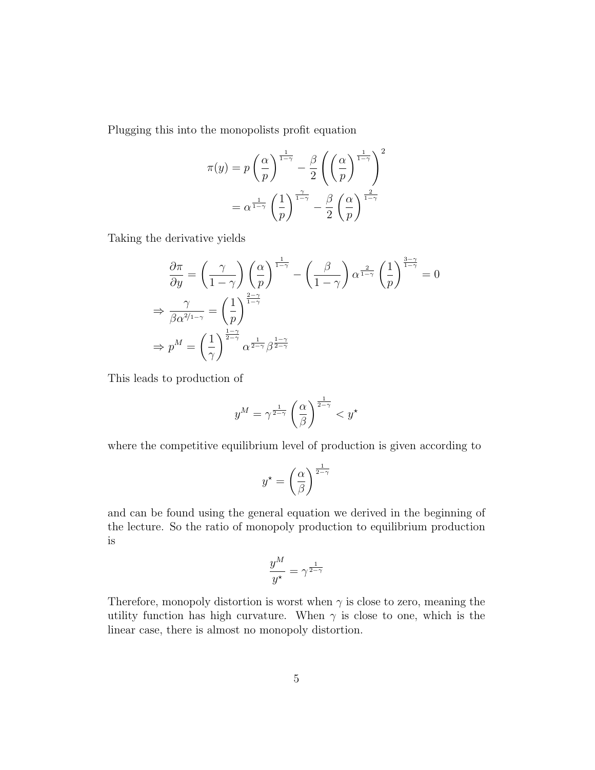Plugging this into the monopolists profit equation

$$
\pi(y) = p\left(\frac{\alpha}{p}\right)^{\frac{1}{1-\gamma}} - \frac{\beta}{2}\left(\left(\frac{\alpha}{p}\right)^{\frac{1}{1-\gamma}}\right)^2
$$

$$
= \alpha^{\frac{1}{1-\gamma}}\left(\frac{1}{p}\right)^{\frac{\gamma}{1-\gamma}} - \frac{\beta}{2}\left(\frac{\alpha}{p}\right)^{\frac{2}{1-\gamma}}
$$

Taking the derivative yields

$$
\frac{\partial \pi}{\partial y} = \left(\frac{\gamma}{1-\gamma}\right) \left(\frac{\alpha}{p}\right)^{\frac{1}{1-\gamma}} - \left(\frac{\beta}{1-\gamma}\right) \alpha^{\frac{2}{1-\gamma}} \left(\frac{1}{p}\right)^{\frac{3-\gamma}{1-\gamma}} = 0
$$
\n
$$
\Rightarrow \frac{\gamma}{\beta \alpha^{2/1-\gamma}} = \left(\frac{1}{p}\right)^{\frac{2-\gamma}{1-\gamma}}
$$
\n
$$
\Rightarrow p^M = \left(\frac{1}{\gamma}\right)^{\frac{1-\gamma}{2-\gamma}} \alpha^{\frac{1}{2-\gamma}} \beta^{\frac{1-\gamma}{2-\gamma}}
$$

This leads to production of

$$
y^M = \gamma^{\frac{1}{2-\gamma}} \left(\frac{\alpha}{\beta}\right)^{\frac{1}{2-\gamma}} < y^\star
$$

where the competitive equilibrium level of production is given according to

$$
y^* = \left(\frac{\alpha}{\beta}\right)^{\frac{1}{2-\gamma}}
$$

and can be found using the general equation we derived in the beginning of the lecture. So the ratio of monopoly production to equilibrium production is

$$
\frac{y^M}{y^\star} = \gamma^{\frac{1}{2-\gamma}}
$$

Therefore, monopoly distortion is worst when  $\gamma$  is close to zero, meaning the utility function has high curvature. When  $\gamma$  is close to one, which is the linear case, there is almost no monopoly distortion.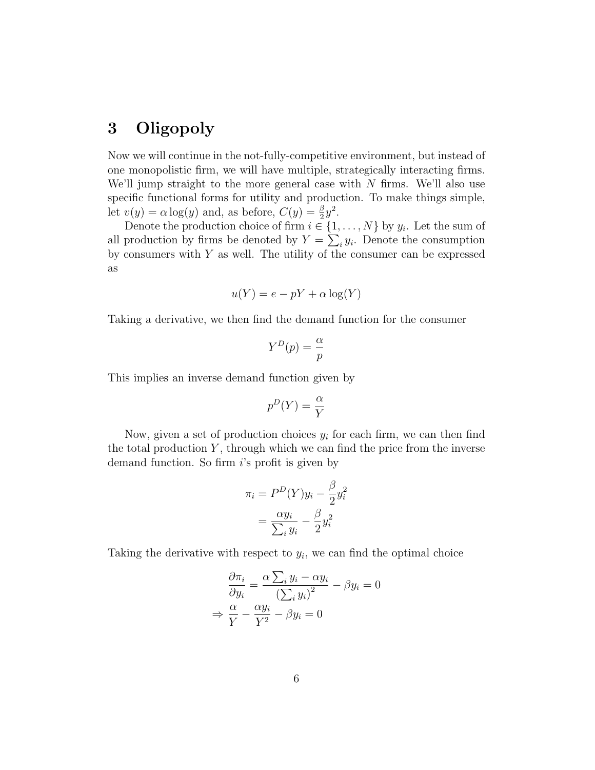### 3 Oligopoly

Now we will continue in the not-fully-competitive environment, but instead of one monopolistic firm, we will have multiple, strategically interacting firms. We'll jump straight to the more general case with  $N$  firms. We'll also use specific functional forms for utility and production. To make things simple, let  $v(y) = \alpha \log(y)$  and, as before,  $C(y) = \frac{\beta}{2}y^2$ .

Denote the production choice of firm  $i \in \{1, \ldots, N\}$  by  $y_i$ . Let the sum of all production by firms be denoted by  $Y = \sum_i y_i$ . Denote the consumption by consumers with  $Y$  as well. The utility of the consumer can be expressed as

$$
u(Y) = e - pY + \alpha \log(Y)
$$

Taking a derivative, we then find the demand function for the consumer

$$
Y^D(p) = \frac{\alpha}{p}
$$

This implies an inverse demand function given by

$$
p^D(Y) = \frac{\alpha}{Y}
$$

Now, given a set of production choices  $y_i$  for each firm, we can then find the total production  $Y$ , through which we can find the price from the inverse demand function. So firm i's profit is given by

$$
\pi_i = P^D(Y)y_i - \frac{\beta}{2}y_i^2
$$

$$
= \frac{\alpha y_i}{\sum_i y_i} - \frac{\beta}{2}y_i^2
$$

Taking the derivative with respect to  $y_i$ , we can find the optimal choice

$$
\frac{\partial \pi_i}{\partial y_i} = \frac{\alpha \sum_i y_i - \alpha y_i}{\left(\sum_i y_i\right)^2} - \beta y_i = 0
$$

$$
\Rightarrow \frac{\alpha}{Y} - \frac{\alpha y_i}{Y^2} - \beta y_i = 0
$$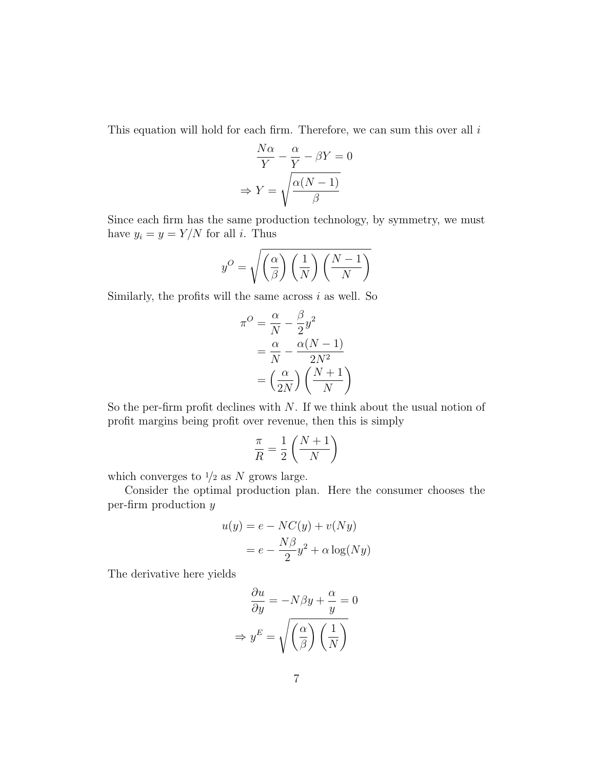This equation will hold for each firm. Therefore, we can sum this over all  $i$ 

$$
\frac{N\alpha}{Y} - \frac{\alpha}{Y} - \beta Y = 0
$$

$$
\Rightarrow Y = \sqrt{\frac{\alpha(N-1)}{\beta}}
$$

Since each firm has the same production technology, by symmetry, we must have  $y_i = y = Y/N$  for all *i*. Thus

$$
y^{O} = \sqrt{\left(\frac{\alpha}{\beta}\right)\left(\frac{1}{N}\right)\left(\frac{N-1}{N}\right)}
$$

Similarly, the profits will the same across  $i$  as well. So

$$
\pi^{O} = \frac{\alpha}{N} - \frac{\beta}{2}y^{2}
$$

$$
= \frac{\alpha}{N} - \frac{\alpha(N-1)}{2N^{2}}
$$

$$
= \left(\frac{\alpha}{2N}\right)\left(\frac{N+1}{N}\right)
$$

So the per-firm profit declines with  $N$ . If we think about the usual notion of profit margins being profit over revenue, then this is simply

$$
\frac{\pi}{R} = \frac{1}{2} \left( \frac{N+1}{N} \right)
$$

which converges to  $\frac{1}{2}$  as N grows large.

Consider the optimal production plan. Here the consumer chooses the per-firm production y

$$
u(y) = e - NC(y) + v(Ny)
$$

$$
= e - \frac{N\beta}{2}y^2 + \alpha \log(Ny)
$$

The derivative here yields

$$
\frac{\partial u}{\partial y} = -N\beta y + \frac{\alpha}{y} = 0
$$

$$
\Rightarrow y^E = \sqrt{\left(\frac{\alpha}{\beta}\right)\left(\frac{1}{N}\right)}
$$